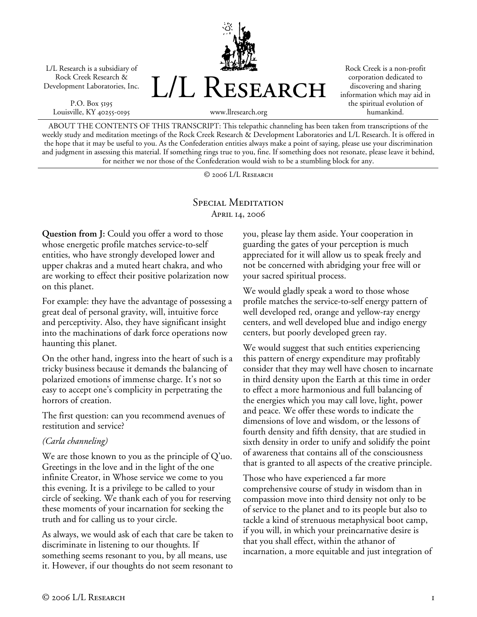L/L Research is a subsidiary of Rock Creek Research & Development Laboratories, Inc.

P.O. Box 5195 Louisville, KY 40255-0195



Rock Creek is a non-profit corporation dedicated to discovering and sharing information which may aid in the spiritual evolution of humankind.

www.llresearch.org

ABOUT THE CONTENTS OF THIS TRANSCRIPT: This telepathic channeling has been taken from transcriptions of the weekly study and meditation meetings of the Rock Creek Research & Development Laboratories and L/L Research. It is offered in the hope that it may be useful to you. As the Confederation entities always make a point of saying, please use your discrimination and judgment in assessing this material. If something rings true to you, fine. If something does not resonate, please leave it behind, for neither we nor those of the Confederation would wish to be a stumbling block for any.

© 2006 L/L Research

## SPECIAL MEDITATION April 14, 2006

**Question from J:** Could you offer a word to those whose energetic profile matches service-to-self entities, who have strongly developed lower and upper chakras and a muted heart chakra, and who are working to effect their positive polarization now on this planet.

For example: they have the advantage of possessing a great deal of personal gravity, will, intuitive force and perceptivity. Also, they have significant insight into the machinations of dark force operations now haunting this planet.

On the other hand, ingress into the heart of such is a tricky business because it demands the balancing of polarized emotions of immense charge. It's not so easy to accept one's complicity in perpetrating the horrors of creation.

The first question: can you recommend avenues of restitution and service?

## *(Carla channeling)*

We are those known to you as the principle of Q'uo. Greetings in the love and in the light of the one infinite Creator, in Whose service we come to you this evening. It is a privilege to be called to your circle of seeking. We thank each of you for reserving these moments of your incarnation for seeking the truth and for calling us to your circle.

As always, we would ask of each that care be taken to discriminate in listening to our thoughts. If something seems resonant to you, by all means, use it. However, if our thoughts do not seem resonant to

you, please lay them aside. Your cooperation in guarding the gates of your perception is much appreciated for it will allow us to speak freely and not be concerned with abridging your free will or your sacred spiritual process.

We would gladly speak a word to those whose profile matches the service-to-self energy pattern of well developed red, orange and yellow-ray energy centers, and well developed blue and indigo energy centers, but poorly developed green ray.

We would suggest that such entities experiencing this pattern of energy expenditure may profitably consider that they may well have chosen to incarnate in third density upon the Earth at this time in order to effect a more harmonious and full balancing of the energies which you may call love, light, power and peace. We offer these words to indicate the dimensions of love and wisdom, or the lessons of fourth density and fifth density, that are studied in sixth density in order to unify and solidify the point of awareness that contains all of the consciousness that is granted to all aspects of the creative principle.

Those who have experienced a far more comprehensive course of study in wisdom than in compassion move into third density not only to be of service to the planet and to its people but also to tackle a kind of strenuous metaphysical boot camp, if you will, in which your preincarnative desire is that you shall effect, within the athanor of incarnation, a more equitable and just integration of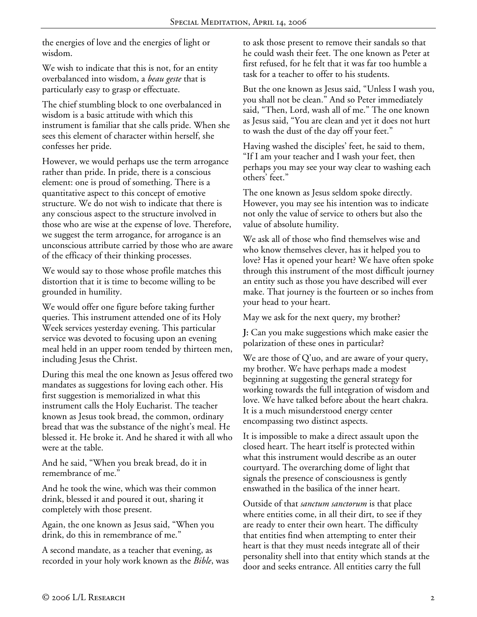the energies of love and the energies of light or wisdom.

We wish to indicate that this is not, for an entity overbalanced into wisdom, a *beau geste* that is particularly easy to grasp or effectuate.

The chief stumbling block to one overbalanced in wisdom is a basic attitude with which this instrument is familiar that she calls pride. When she sees this element of character within herself, she confesses her pride.

However, we would perhaps use the term arrogance rather than pride. In pride, there is a conscious element: one is proud of something. There is a quantitative aspect to this concept of emotive structure. We do not wish to indicate that there is any conscious aspect to the structure involved in those who are wise at the expense of love. Therefore, we suggest the term arrogance, for arrogance is an unconscious attribute carried by those who are aware of the efficacy of their thinking processes.

We would say to those whose profile matches this distortion that it is time to become willing to be grounded in humility.

We would offer one figure before taking further queries. This instrument attended one of its Holy Week services yesterday evening. This particular service was devoted to focusing upon an evening meal held in an upper room tended by thirteen men, including Jesus the Christ.

During this meal the one known as Jesus offered two mandates as suggestions for loving each other. His first suggestion is memorialized in what this instrument calls the Holy Eucharist. The teacher known as Jesus took bread, the common, ordinary bread that was the substance of the night's meal. He blessed it. He broke it. And he shared it with all who were at the table.

And he said, "When you break bread, do it in remembrance of me."

And he took the wine, which was their common drink, blessed it and poured it out, sharing it completely with those present.

Again, the one known as Jesus said, "When you drink, do this in remembrance of me."

A second mandate, as a teacher that evening, as recorded in your holy work known as the *Bible*, was to ask those present to remove their sandals so that he could wash their feet. The one known as Peter at first refused, for he felt that it was far too humble a task for a teacher to offer to his students.

But the one known as Jesus said, "Unless I wash you, you shall not be clean." And so Peter immediately said, "Then, Lord, wash all of me." The one known as Jesus said, "You are clean and yet it does not hurt to wash the dust of the day off your feet."

Having washed the disciples' feet, he said to them, "If I am your teacher and I wash your feet, then perhaps you may see your way clear to washing each others' feet."

The one known as Jesus seldom spoke directly. However, you may see his intention was to indicate not only the value of service to others but also the value of absolute humility.

We ask all of those who find themselves wise and who know themselves clever, has it helped you to love? Has it opened your heart? We have often spoke through this instrument of the most difficult journey an entity such as those you have described will ever make. That journey is the fourteen or so inches from your head to your heart.

May we ask for the next query, my brother?

**J:** Can you make suggestions which make easier the polarization of these ones in particular?

We are those of  $Q'$ uo, and are aware of your query, my brother. We have perhaps made a modest beginning at suggesting the general strategy for working towards the full integration of wisdom and love. We have talked before about the heart chakra. It is a much misunderstood energy center encompassing two distinct aspects.

It is impossible to make a direct assault upon the closed heart. The heart itself is protected within what this instrument would describe as an outer courtyard. The overarching dome of light that signals the presence of consciousness is gently enswathed in the basilica of the inner heart.

Outside of that *sanctum sanctorum* is that place where entities come, in all their dirt, to see if they are ready to enter their own heart. The difficulty that entities find when attempting to enter their heart is that they must needs integrate all of their personality shell into that entity which stands at the door and seeks entrance. All entities carry the full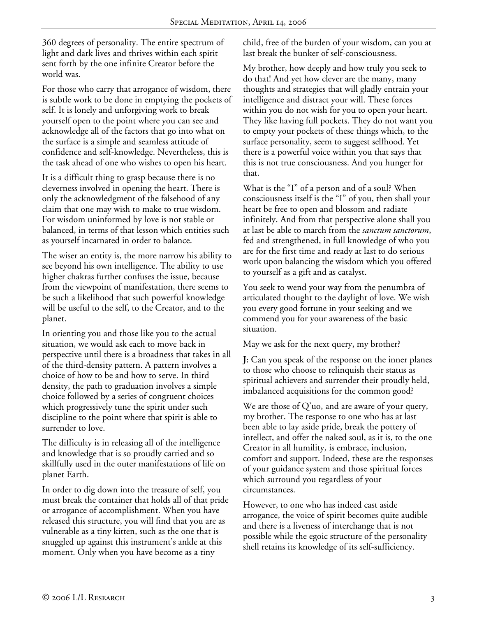360 degrees of personality. The entire spectrum of light and dark lives and thrives within each spirit sent forth by the one infinite Creator before the world was.

For those who carry that arrogance of wisdom, there is subtle work to be done in emptying the pockets of self. It is lonely and unforgiving work to break yourself open to the point where you can see and acknowledge all of the factors that go into what on the surface is a simple and seamless attitude of confidence and self-knowledge. Nevertheless, this is the task ahead of one who wishes to open his heart.

It is a difficult thing to grasp because there is no cleverness involved in opening the heart. There is only the acknowledgment of the falsehood of any claim that one may wish to make to true wisdom. For wisdom uninformed by love is not stable or balanced, in terms of that lesson which entities such as yourself incarnated in order to balance.

The wiser an entity is, the more narrow his ability to see beyond his own intelligence. The ability to use higher chakras further confuses the issue, because from the viewpoint of manifestation, there seems to be such a likelihood that such powerful knowledge will be useful to the self, to the Creator, and to the planet.

In orienting you and those like you to the actual situation, we would ask each to move back in perspective until there is a broadness that takes in all of the third-density pattern. A pattern involves a choice of how to be and how to serve. In third density, the path to graduation involves a simple choice followed by a series of congruent choices which progressively tune the spirit under such discipline to the point where that spirit is able to surrender to love.

The difficulty is in releasing all of the intelligence and knowledge that is so proudly carried and so skillfully used in the outer manifestations of life on planet Earth.

In order to dig down into the treasure of self, you must break the container that holds all of that pride or arrogance of accomplishment. When you have released this structure, you will find that you are as vulnerable as a tiny kitten, such as the one that is snuggled up against this instrument's ankle at this moment. Only when you have become as a tiny

child, free of the burden of your wisdom, can you at last break the bunker of self-consciousness.

My brother, how deeply and how truly you seek to do that! And yet how clever are the many, many thoughts and strategies that will gladly entrain your intelligence and distract your will. These forces within you do not wish for you to open your heart. They like having full pockets. They do not want you to empty your pockets of these things which, to the surface personality, seem to suggest selfhood. Yet there is a powerful voice within you that says that this is not true consciousness. And you hunger for that.

What is the "I" of a person and of a soul? When consciousness itself is the "I" of you, then shall your heart be free to open and blossom and radiate infinitely. And from that perspective alone shall you at last be able to march from the *sanctum sanctorum*, fed and strengthened, in full knowledge of who you are for the first time and ready at last to do serious work upon balancing the wisdom which you offered to yourself as a gift and as catalyst.

You seek to wend your way from the penumbra of articulated thought to the daylight of love. We wish you every good fortune in your seeking and we commend you for your awareness of the basic situation.

May we ask for the next query, my brother?

**J:** Can you speak of the response on the inner planes to those who choose to relinquish their status as spiritual achievers and surrender their proudly held, imbalanced acquisitions for the common good?

We are those of  $Q'$ uo, and are aware of your query, my brother. The response to one who has at last been able to lay aside pride, break the pottery of intellect, and offer the naked soul, as it is, to the one Creator in all humility, is embrace, inclusion, comfort and support. Indeed, these are the responses of your guidance system and those spiritual forces which surround you regardless of your circumstances.

However, to one who has indeed cast aside arrogance, the voice of spirit becomes quite audible and there is a liveness of interchange that is not possible while the egoic structure of the personality shell retains its knowledge of its self-sufficiency.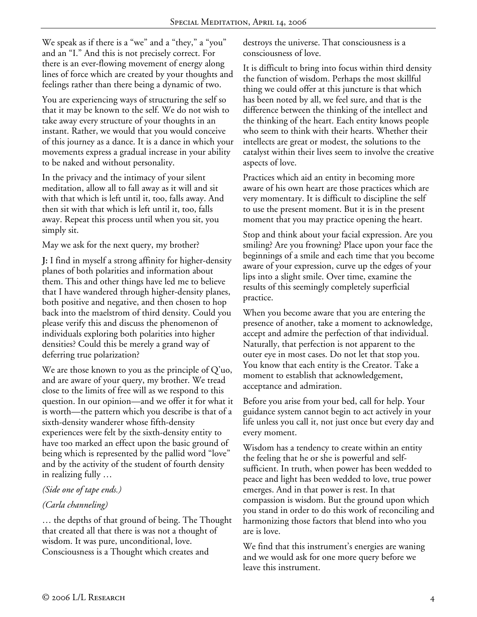We speak as if there is a "we" and a "they," a "you" and an "I." And this is not precisely correct. For there is an ever-flowing movement of energy along lines of force which are created by your thoughts and feelings rather than there being a dynamic of two.

You are experiencing ways of structuring the self so that it may be known to the self. We do not wish to take away every structure of your thoughts in an instant. Rather, we would that you would conceive of this journey as a dance. It is a dance in which your movements express a gradual increase in your ability to be naked and without personality.

In the privacy and the intimacy of your silent meditation, allow all to fall away as it will and sit with that which is left until it, too, falls away. And then sit with that which is left until it, too, falls away. Repeat this process until when you sit, you simply sit.

May we ask for the next query, my brother?

**J:** I find in myself a strong affinity for higher-density planes of both polarities and information about them. This and other things have led me to believe that I have wandered through higher-density planes, both positive and negative, and then chosen to hop back into the maelstrom of third density. Could you please verify this and discuss the phenomenon of individuals exploring both polarities into higher densities? Could this be merely a grand way of deferring true polarization?

We are those known to you as the principle of  $Q'$ uo, and are aware of your query, my brother. We tread close to the limits of free will as we respond to this question. In our opinion—and we offer it for what it is worth—the pattern which you describe is that of a sixth-density wanderer whose fifth-density experiences were felt by the sixth-density entity to have too marked an effect upon the basic ground of being which is represented by the pallid word "love" and by the activity of the student of fourth density in realizing fully …

## *(Side one of tape ends.)*

## *(Carla channeling)*

… the depths of that ground of being. The Thought that created all that there is was not a thought of wisdom. It was pure, unconditional, love. Consciousness is a Thought which creates and

destroys the universe. That consciousness is a consciousness of love.

It is difficult to bring into focus within third density the function of wisdom. Perhaps the most skillful thing we could offer at this juncture is that which has been noted by all, we feel sure, and that is the difference between the thinking of the intellect and the thinking of the heart. Each entity knows people who seem to think with their hearts. Whether their intellects are great or modest, the solutions to the catalyst within their lives seem to involve the creative aspects of love.

Practices which aid an entity in becoming more aware of his own heart are those practices which are very momentary. It is difficult to discipline the self to use the present moment. But it is in the present moment that you may practice opening the heart.

Stop and think about your facial expression. Are you smiling? Are you frowning? Place upon your face the beginnings of a smile and each time that you become aware of your expression, curve up the edges of your lips into a slight smile. Over time, examine the results of this seemingly completely superficial practice.

When you become aware that you are entering the presence of another, take a moment to acknowledge, accept and admire the perfection of that individual. Naturally, that perfection is not apparent to the outer eye in most cases. Do not let that stop you. You know that each entity is the Creator. Take a moment to establish that acknowledgement, acceptance and admiration.

Before you arise from your bed, call for help. Your guidance system cannot begin to act actively in your life unless you call it, not just once but every day and every moment.

Wisdom has a tendency to create within an entity the feeling that he or she is powerful and selfsufficient. In truth, when power has been wedded to peace and light has been wedded to love, true power emerges. And in that power is rest. In that compassion is wisdom. But the ground upon which you stand in order to do this work of reconciling and harmonizing those factors that blend into who you are is love.

We find that this instrument's energies are waning and we would ask for one more query before we leave this instrument.